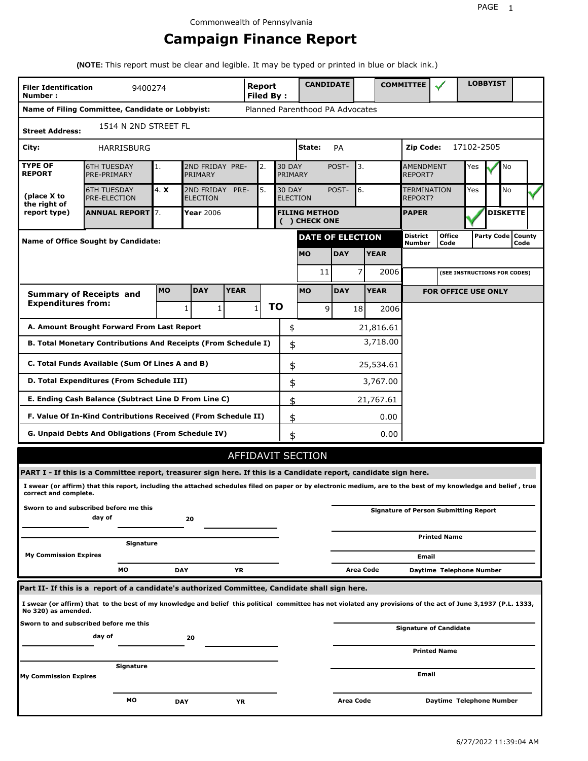# **Campaign Finance Report**

**(NOTE:** This report must be clear and legible. It may be typed or printed in blue or black ink.)

| <b>Filer Identification</b><br>9400274<br>Number: |                                                                                                                                                                 |                                                   |                               |             |              | <b>Report</b><br><b>Filed By:</b> | <b>CANDIDATE</b>                |                  |              | <b>COMMITTEE</b>                   |                                              |            | <b>LOBBYIST</b>     |      |  |
|---------------------------------------------------|-----------------------------------------------------------------------------------------------------------------------------------------------------------------|---------------------------------------------------|-------------------------------|-------------|--------------|-----------------------------------|---------------------------------|------------------|--------------|------------------------------------|----------------------------------------------|------------|---------------------|------|--|
|                                                   | Name of Filing Committee, Candidate or Lobbyist:                                                                                                                |                                                   |                               |             |              |                                   | Planned Parenthood PA Advocates |                  |              |                                    |                                              |            |                     |      |  |
| <b>Street Address:</b>                            | 1514 N 2ND STREET FL                                                                                                                                            |                                                   |                               |             |              |                                   |                                 |                  |              |                                    |                                              |            |                     |      |  |
| City:                                             | HARRISBURG                                                                                                                                                      |                                                   |                               |             |              |                                   | State:                          | PA               |              | Zip Code:                          |                                              | 17102-2505 |                     |      |  |
| <b>TYPE OF</b><br><b>REPORT</b>                   | <b>6TH TUESDAY</b><br>PRE-PRIMARY                                                                                                                               | 1.                                                | 2ND FRIDAY PRE-<br>PRIMARY    |             | 2.           | <b>30 DAY</b><br>PRIMARY          |                                 | POST-<br>3.      |              | <b>AMENDMENT</b><br><b>REPORT?</b> |                                              | Yes        |                     | No   |  |
| (place X to<br>the right of                       | <b>6TH TUESDAY</b><br><b>PRE-ELECTION</b>                                                                                                                       | 4. X                                              | 2ND FRIDAY<br><b>ELECTION</b> | PRE-        | 5.           | <b>30 DAY</b>                     | <b>ELECTION</b>                 | POST-            | 6.           | <b>TERMINATION</b><br>REPORT?      |                                              | Yes        |                     | No   |  |
| report type)                                      | <b>ANNUAL REPORT 7.</b>                                                                                                                                         | Year 2006<br><b>FILING METHOD</b><br>() CHECK ONE |                               |             |              |                                   |                                 |                  | <b>PAPER</b> |                                    |                                              |            | <b>DISKETTE</b>     |      |  |
| Name of Office Sought by Candidate:               |                                                                                                                                                                 |                                                   |                               |             |              |                                   | <b>DATE OF ELECTION</b>         |                  |              | <b>District</b><br><b>Number</b>   | <b>Office</b><br>Code                        |            | Party Code   County | Code |  |
|                                                   |                                                                                                                                                                 |                                                   |                               |             |              |                                   | <b>MO</b>                       | <b>DAY</b>       | <b>YEAR</b>  |                                    |                                              |            |                     |      |  |
|                                                   |                                                                                                                                                                 |                                                   |                               |             |              |                                   | 11                              |                  | 7<br>2006    |                                    | (SEE INSTRUCTIONS FOR CODES)                 |            |                     |      |  |
|                                                   | <b>Summary of Receipts and</b>                                                                                                                                  | <b>MO</b>                                         | <b>DAY</b>                    | <b>YEAR</b> |              |                                   | <b>MO</b>                       | <b>DAY</b>       | <b>YEAR</b>  |                                    | <b>FOR OFFICE USE ONLY</b>                   |            |                     |      |  |
| <b>Expenditures from:</b>                         |                                                                                                                                                                 |                                                   | 1<br>1                        |             | $\mathbf{1}$ | ΤO                                | 9                               | 18               | 2006         |                                    |                                              |            |                     |      |  |
|                                                   | A. Amount Brought Forward From Last Report                                                                                                                      |                                                   |                               |             |              | \$                                |                                 |                  | 21,816.61    |                                    |                                              |            |                     |      |  |
|                                                   | B. Total Monetary Contributions And Receipts (From Schedule I)                                                                                                  |                                                   |                               |             |              | \$                                |                                 |                  | 3,718.00     |                                    |                                              |            |                     |      |  |
|                                                   | C. Total Funds Available (Sum Of Lines A and B)                                                                                                                 |                                                   |                               |             |              | \$                                |                                 |                  | 25,534.61    |                                    |                                              |            |                     |      |  |
|                                                   | D. Total Expenditures (From Schedule III)                                                                                                                       |                                                   |                               |             |              | \$                                |                                 |                  | 3,767.00     |                                    |                                              |            |                     |      |  |
|                                                   | E. Ending Cash Balance (Subtract Line D From Line C)                                                                                                            |                                                   |                               |             |              | \$                                |                                 |                  | 21,767.61    |                                    |                                              |            |                     |      |  |
|                                                   | F. Value Of In-Kind Contributions Received (From Schedule II)                                                                                                   |                                                   |                               |             |              | \$                                |                                 |                  | 0.00         |                                    |                                              |            |                     |      |  |
|                                                   | <b>G. Unpaid Debts And Obligations (From Schedule IV)</b>                                                                                                       |                                                   |                               |             |              | \$                                |                                 |                  | 0.00         |                                    |                                              |            |                     |      |  |
|                                                   |                                                                                                                                                                 |                                                   |                               |             |              |                                   | AFFIDAVIT SECTION               |                  |              |                                    |                                              |            |                     |      |  |
|                                                   | PART I - If this is a Committee report, treasurer sign here. If this is a Candidate report, candidate sign here.                                                |                                                   |                               |             |              |                                   |                                 |                  |              |                                    |                                              |            |                     |      |  |
| correct and complete.                             | I swear (or affirm) that this report, including the attached schedules filed on paper or by electronic medium, are to the best of my knowledge and belief, true |                                                   |                               |             |              |                                   |                                 |                  |              |                                    |                                              |            |                     |      |  |
|                                                   | Sworn to and subscribed before me this<br>day of                                                                                                                |                                                   | 20                            |             |              |                                   |                                 |                  |              |                                    | <b>Signature of Person Submitting Report</b> |            |                     |      |  |
|                                                   | Signature                                                                                                                                                       |                                                   |                               |             |              |                                   |                                 |                  |              |                                    | <b>Printed Name</b>                          |            |                     |      |  |
| <b>My Commission Expires</b>                      |                                                                                                                                                                 |                                                   |                               |             |              |                                   |                                 |                  |              | Email                              |                                              |            |                     |      |  |
|                                                   | МO                                                                                                                                                              |                                                   | <b>DAY</b>                    | YR          |              |                                   |                                 |                  | Area Code    |                                    | Daytime Telephone Number                     |            |                     |      |  |
|                                                   | Part II- If this is a report of a candidate's authorized Committee, Candidate shall sign here.                                                                  |                                                   |                               |             |              |                                   |                                 |                  |              |                                    |                                              |            |                     |      |  |
| No 320) as amended.                               | I swear (or affirm) that to the best of my knowledge and belief this political committee has not violated any provisions of the act of June 3,1937 (P.L. 1333,  |                                                   |                               |             |              |                                   |                                 |                  |              |                                    |                                              |            |                     |      |  |
|                                                   | Sworn to and subscribed before me this<br>day of                                                                                                                |                                                   | 20                            |             |              |                                   |                                 |                  |              |                                    | <b>Signature of Candidate</b>                |            |                     |      |  |
|                                                   |                                                                                                                                                                 |                                                   |                               |             |              |                                   |                                 |                  |              |                                    | <b>Printed Name</b>                          |            |                     |      |  |
| My Commission Expires                             | Signature                                                                                                                                                       |                                                   |                               |             |              |                                   |                                 |                  |              | Email                              |                                              |            |                     |      |  |
|                                                   | МO                                                                                                                                                              |                                                   | <b>DAY</b>                    | ΥR          |              |                                   |                                 | <b>Area Code</b> |              |                                    | Daytime Telephone Number                     |            |                     |      |  |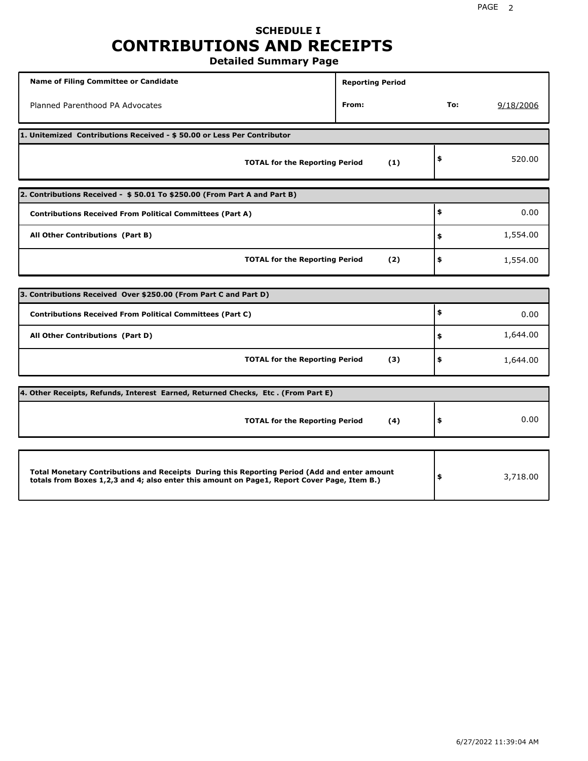# **SCHEDULE I CONTRIBUTIONS AND RECEIPTS**

**Detailed Summary Page**

| <b>Name of Filing Committee or Candidate</b>                                                                                                                                                | <b>Reporting Period</b> |     |           |
|---------------------------------------------------------------------------------------------------------------------------------------------------------------------------------------------|-------------------------|-----|-----------|
| Planned Parenthood PA Advocates                                                                                                                                                             | From:                   | To: | 9/18/2006 |
| 1. Unitemized Contributions Received - \$50.00 or Less Per Contributor                                                                                                                      |                         |     |           |
| <b>TOTAL for the Reporting Period</b>                                                                                                                                                       | (1)                     | \$  | 520.00    |
| 2. Contributions Received - \$50.01 To \$250.00 (From Part A and Part B)                                                                                                                    |                         |     |           |
| <b>Contributions Received From Political Committees (Part A)</b>                                                                                                                            |                         | \$  | 0.00      |
| All Other Contributions (Part B)                                                                                                                                                            |                         | \$  | 1,554.00  |
| <b>TOTAL for the Reporting Period</b>                                                                                                                                                       | (2)                     | \$  | 1,554.00  |
|                                                                                                                                                                                             |                         |     |           |
| 3. Contributions Received Over \$250.00 (From Part C and Part D)                                                                                                                            |                         |     |           |
| <b>Contributions Received From Political Committees (Part C)</b>                                                                                                                            |                         | \$  | 0.00      |
| All Other Contributions (Part D)                                                                                                                                                            |                         | \$  | 1,644.00  |
| <b>TOTAL for the Reporting Period</b>                                                                                                                                                       | (3)                     | \$  | 1,644.00  |
| 4. Other Receipts, Refunds, Interest Earned, Returned Checks, Etc. (From Part E)                                                                                                            |                         |     |           |
| <b>TOTAL for the Reporting Period</b>                                                                                                                                                       | (4)                     | \$  | 0.00      |
|                                                                                                                                                                                             |                         |     |           |
| Total Monetary Contributions and Receipts During this Reporting Period (Add and enter amount<br>totals from Boxes 1,2,3 and 4; also enter this amount on Page1, Report Cover Page, Item B.) |                         | \$  | 3,718.00  |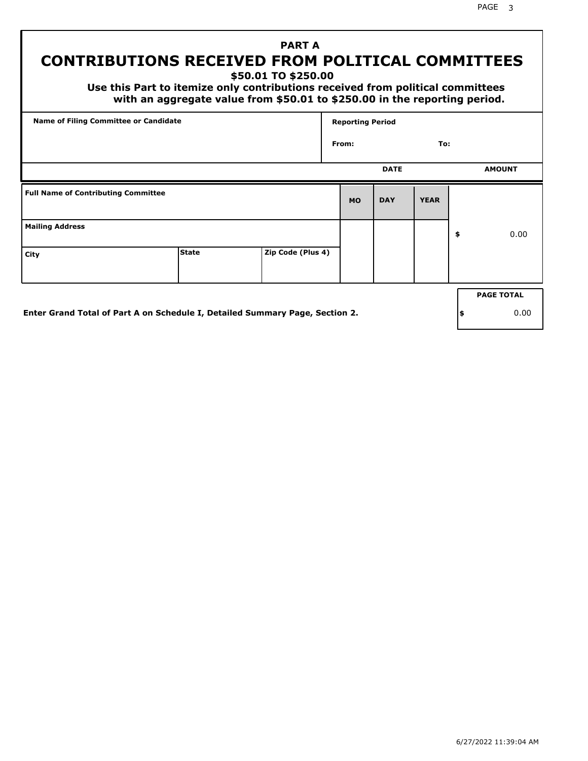# **CONTRIBUTIONS RECEIVED FROM POLITICAL COMMITTEES**

**\$50.01 TO \$250.00**

 **Use this Part to itemize only contributions received from political committees with an aggregate value from \$50.01 to \$250.00 in the reporting period.**

 **PART A**

| Name of Filing Committee or Candidate      |  |  | <b>Reporting Period</b> |             |             |    |                   |
|--------------------------------------------|--|--|-------------------------|-------------|-------------|----|-------------------|
|                                            |  |  |                         | From:       |             |    |                   |
|                                            |  |  |                         | <b>DATE</b> |             |    | <b>AMOUNT</b>     |
| <b>Full Name of Contributing Committee</b> |  |  | <b>MO</b>               | <b>DAY</b>  | <b>YEAR</b> |    |                   |
| <b>Mailing Address</b>                     |  |  |                         |             |             | \$ | 0.00              |
| Zip Code (Plus 4)<br><b>State</b><br>City  |  |  |                         |             |             |    |                   |
|                                            |  |  |                         |             |             |    | <b>PAGE TOTAL</b> |
|                                            |  |  |                         |             |             |    |                   |

**Enter Grand Total of Part A on Schedule I, Detailed Summary Page, Section 2.**

**\$** 0.00

PAGE 3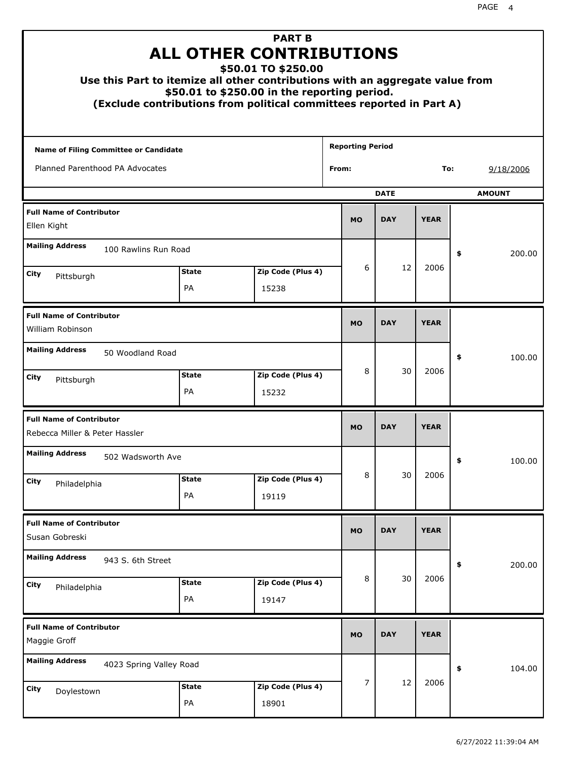| Use this Part to itemize all other contributions with an aggregate value from<br>(Exclude contributions from political committees reported in Part A) | <b>ALL OTHER CONTRIBUTIONS</b><br>\$50.01 to \$250.00 in the reporting period. |            | <b>PART B</b><br>\$50.01 TO \$250.00 |                         |            |             |    |           |
|-------------------------------------------------------------------------------------------------------------------------------------------------------|--------------------------------------------------------------------------------|------------|--------------------------------------|-------------------------|------------|-------------|----|-----------|
| <b>Name of Filing Committee or Candidate</b>                                                                                                          |                                                                                |            |                                      | <b>Reporting Period</b> |            |             |    |           |
| Planned Parenthood PA Advocates                                                                                                                       |                                                                                |            |                                      | From:                   |            |             |    | 9/18/2006 |
| <b>DATE</b><br><b>AMOUNT</b>                                                                                                                          |                                                                                |            |                                      |                         |            |             |    |           |
| <b>Full Name of Contributor</b><br>Ellen Kight                                                                                                        | <b>MO</b>                                                                      | <b>DAY</b> | <b>YEAR</b>                          |                         |            |             |    |           |
| <b>Mailing Address</b><br>100 Rawlins Run Road                                                                                                        |                                                                                |            |                                      |                         |            |             | \$ | 200.00    |
| City<br>Pittsburgh                                                                                                                                    | 6                                                                              | 12         | 2006                                 |                         |            |             |    |           |
|                                                                                                                                                       | <b>PA</b>                                                                      |            | 15238                                |                         |            |             |    |           |
| <b>Full Name of Contributor</b><br>William Robinson                                                                                                   |                                                                                |            |                                      |                         | <b>DAY</b> | <b>YEAR</b> |    |           |
| <b>Mailing Address</b><br>50 Woodland Road                                                                                                            |                                                                                |            |                                      |                         |            |             | \$ | 100.00    |
| City<br>Pittsburgh                                                                                                                                    | <b>State</b><br><b>PA</b>                                                      |            | Zip Code (Plus 4)<br>15232           | 8                       | 30         | 2006        |    |           |
| <b>Full Name of Contributor</b><br>Rebecca Miller & Peter Hassler                                                                                     |                                                                                |            |                                      | <b>MO</b>               | <b>DAY</b> | <b>YEAR</b> |    |           |
| <b>Mailing Address</b><br>502 Wadsworth Ave                                                                                                           |                                                                                |            |                                      |                         |            |             | Ş. | 100.00    |
| City<br>Philadelphia                                                                                                                                  | <b>State</b><br>PA                                                             |            | Zip Code (Plus 4)                    | 8                       | 30         | 2006        |    |           |
|                                                                                                                                                       |                                                                                |            | 19119                                |                         |            |             |    |           |
| <b>Full Name of Contributor</b><br>Susan Gobreski                                                                                                     |                                                                                |            |                                      | <b>MO</b>               | <b>DAY</b> | <b>YEAR</b> |    |           |
| <b>Mailing Address</b><br>943 S. 6th Street                                                                                                           |                                                                                |            |                                      |                         |            |             | \$ | 200.00    |
| <b>City</b><br>Philadelphia                                                                                                                           | <b>State</b><br>PA                                                             |            | Zip Code (Plus 4)<br>19147           | 8                       | 30         | 2006        |    |           |
| <b>Full Name of Contributor</b><br>Maggie Groff                                                                                                       |                                                                                |            |                                      | <b>MO</b>               | <b>DAY</b> | <b>YEAR</b> |    |           |
| <b>Mailing Address</b><br>4023 Spring Valley Road                                                                                                     |                                                                                |            |                                      |                         |            |             | \$ | 104.00    |
| <b>City</b><br>Doylestown                                                                                                                             | <b>State</b><br>PA                                                             |            | Zip Code (Plus 4)<br>18901           | 7                       | 12         | 2006        |    |           |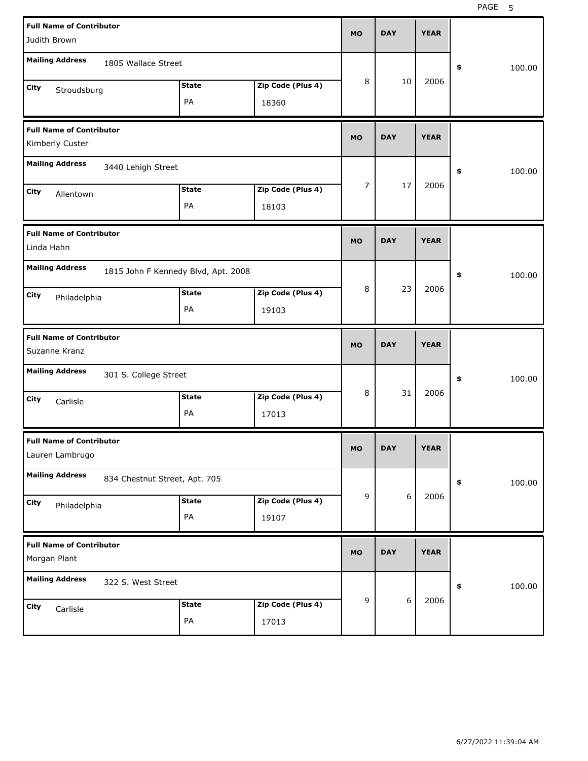| Judith Brown                                                                                                                              | <b>Full Name of Contributor</b> |                    |                            |           | <b>DAY</b> | <b>YEAR</b> |              |
|-------------------------------------------------------------------------------------------------------------------------------------------|---------------------------------|--------------------|----------------------------|-----------|------------|-------------|--------------|
| <b>Mailing Address</b>                                                                                                                    | 1805 Wallace Street             |                    |                            |           |            |             | 100.00<br>\$ |
| City<br>Stroudsburg                                                                                                                       |                                 | <b>State</b><br>PA | Zip Code (Plus 4)<br>18360 | 8         | 10         | 2006        |              |
| <b>Full Name of Contributor</b><br>Kimberly Custer                                                                                        |                                 |                    |                            | <b>MO</b> | <b>DAY</b> | <b>YEAR</b> |              |
| <b>Mailing Address</b>                                                                                                                    | 3440 Lehigh Street              |                    |                            |           |            |             | 100.00<br>\$ |
| City<br>Allentown                                                                                                                         |                                 | <b>State</b><br>PA | Zip Code (Plus 4)<br>18103 | 7         | 17         | 2006        |              |
| <b>Full Name of Contributor</b><br>Linda Hahn                                                                                             |                                 |                    |                            | <b>MO</b> | <b>DAY</b> | <b>YEAR</b> |              |
| <b>Mailing Address</b><br>1815 John F Kennedy Blvd, Apt. 2008<br>Zip Code (Plus 4)<br><b>State</b><br>City<br>Philadelphia<br>PA<br>19103 |                                 |                    |                            | 8         | 23         | 2006        | 100.00<br>\$ |
|                                                                                                                                           |                                 |                    |                            |           |            |             |              |
|                                                                                                                                           |                                 |                    |                            |           |            |             |              |
| <b>Full Name of Contributor</b><br>Suzanne Kranz                                                                                          |                                 |                    |                            | <b>MO</b> | <b>DAY</b> | <b>YEAR</b> |              |
| <b>Mailing Address</b>                                                                                                                    | 301 S. College Street           |                    |                            |           |            |             | 100.00<br>\$ |
| City<br>Carlisle                                                                                                                          |                                 | <b>State</b><br>PA | Zip Code (Plus 4)<br>17013 | 8         | 31         | 2006        |              |
| <b>Full Name of Contributor</b><br>Lauren Lambrugo                                                                                        |                                 |                    |                            | <b>MO</b> | <b>DAY</b> | <b>YEAR</b> |              |
| <b>Mailing Address</b>                                                                                                                    | 834 Chestnut Street, Apt. 705   |                    |                            |           |            |             | 100.00<br>\$ |
| City<br>Philadelphia                                                                                                                      |                                 | <b>State</b><br>PA | Zip Code (Plus 4)<br>19107 | 9         | 6          | 2006        |              |
| <b>Full Name of Contributor</b><br>Morgan Plant                                                                                           |                                 |                    |                            | <b>MO</b> | <b>DAY</b> | <b>YEAR</b> |              |
| <b>Mailing Address</b>                                                                                                                    | 322 S. West Street              |                    |                            | 9         | 6          | 2006        | 100.00<br>\$ |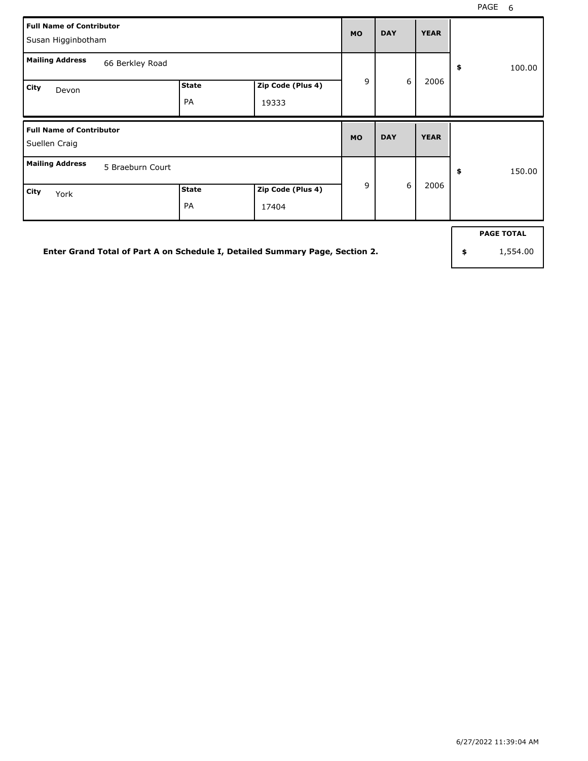| <b>Full Name of Contributor</b><br>Susan Higginbotham |                                                  |  |  |           |                  | <b>YEAR</b> |              |  |
|-------------------------------------------------------|--------------------------------------------------|--|--|-----------|------------------|-------------|--------------|--|
| <b>Mailing Address</b>                                | 66 Berkley Road                                  |  |  |           |                  |             | \$<br>100.00 |  |
| City<br>Devon                                         | Zip Code (Plus 4)<br><b>State</b><br>PA<br>19333 |  |  |           | $\boldsymbol{6}$ | 2006        |              |  |
| <b>Full Name of Contributor</b><br>Suellen Craig      |                                                  |  |  |           |                  |             |              |  |
|                                                       |                                                  |  |  | <b>MO</b> | <b>DAY</b>       | <b>YEAR</b> |              |  |
| <b>Mailing Address</b>                                | 5 Braeburn Court                                 |  |  | 9         | 6                | 2006        | \$<br>150.00 |  |

**Enter Grand Total of Part A on Schedule I, Detailed Summary Page, Section 2.**

**PAGE TOTAL**

**\$** 1,554.00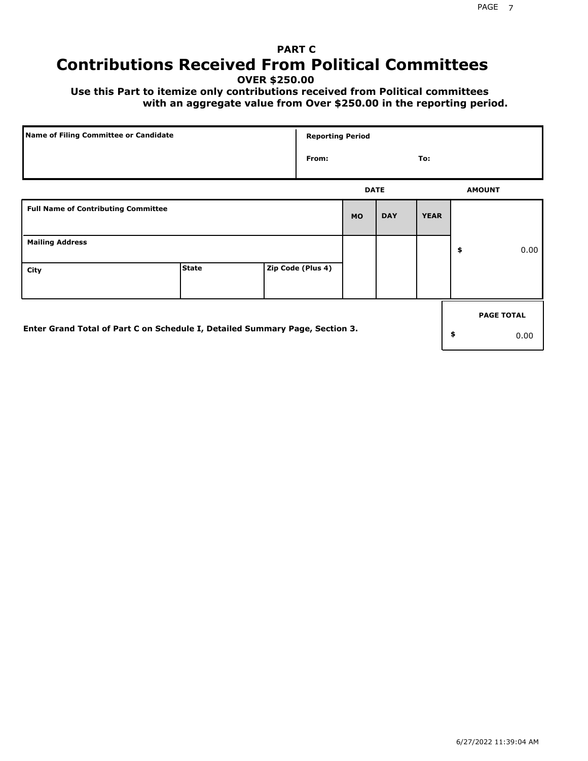# **PART C Contributions Received From Political Committees**

**OVER \$250.00**

 **Use this Part to itemize only contributions received from Political committees with an aggregate value from Over \$250.00 in the reporting period.**

| Name of Filing Committee or Candidate                                        |              | <b>Reporting Period</b> |             |            |             |                   |
|------------------------------------------------------------------------------|--------------|-------------------------|-------------|------------|-------------|-------------------|
|                                                                              |              | From:                   |             |            | To:         |                   |
|                                                                              |              |                         | <b>DATE</b> |            |             | <b>AMOUNT</b>     |
| <b>Full Name of Contributing Committee</b>                                   |              |                         | <b>MO</b>   | <b>DAY</b> | <b>YEAR</b> |                   |
| <b>Mailing Address</b>                                                       |              |                         |             |            |             | \$<br>0.00        |
| City                                                                         | <b>State</b> | Zip Code (Plus 4)       |             |            |             |                   |
|                                                                              |              |                         |             |            |             | <b>PAGE TOTAL</b> |
| Enter Grand Total of Part C on Schedule I, Detailed Summary Page, Section 3. |              |                         |             |            |             | \$<br>0.00        |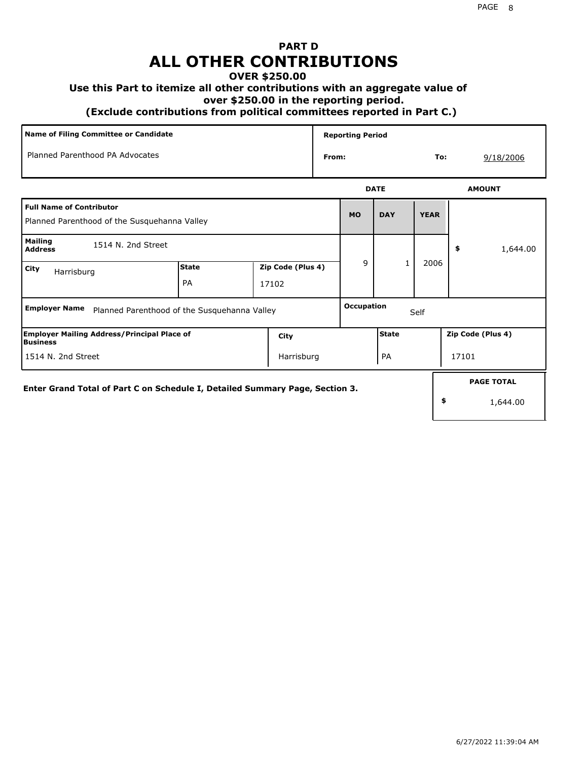# **PART D ALL OTHER CONTRIBUTIONS**

#### **OVER \$250.00**

#### **Use this Part to itemize all other contributions with an aggregate value of**

 **over \$250.00 in the reporting period.**

 **(Exclude contributions from political committees reported in Part C.)** 

| <b>Name of Filing Committee or Candidate</b>                                    |                    |                            |       | <b>Reporting Period</b>   |              |             |                               |  |  |
|---------------------------------------------------------------------------------|--------------------|----------------------------|-------|---------------------------|--------------|-------------|-------------------------------|--|--|
| Planned Parenthood PA Advocates                                                 |                    |                            | From: |                           |              | To:         | 9/18/2006                     |  |  |
|                                                                                 |                    |                            |       |                           | <b>DATE</b>  |             | <b>AMOUNT</b>                 |  |  |
| <b>Full Name of Contributor</b><br>Planned Parenthood of the Susquehanna Valley |                    |                            |       | <b>MO</b>                 | <b>DAY</b>   | <b>YEAR</b> |                               |  |  |
| <b>Mailing</b><br>1514 N. 2nd Street<br><b>Address</b>                          |                    |                            |       |                           |              |             | 1,644.00<br>\$                |  |  |
| City<br>Harrisburg                                                              | <b>State</b><br>PA | Zip Code (Plus 4)<br>17102 |       | 9                         | $\mathbf{1}$ | 2006        |                               |  |  |
| <b>Employer Name</b><br>Planned Parenthood of the Susquehanna Valley            |                    |                            |       | <b>Occupation</b><br>Self |              |             |                               |  |  |
| <b>Employer Mailing Address/Principal Place of</b><br>Business                  |                    | City                       |       |                           | <b>State</b> |             | Zip Code (Plus 4)             |  |  |
| 1514 N. 2nd Street                                                              |                    | Harrisburg                 |       |                           | PA           |             | 17101                         |  |  |
| Enter Grand Total of Part C on Schedule I, Detailed Summary Page, Section 3.    |                    |                            |       |                           |              | \$          | <b>PAGE TOTAL</b><br>1,644.00 |  |  |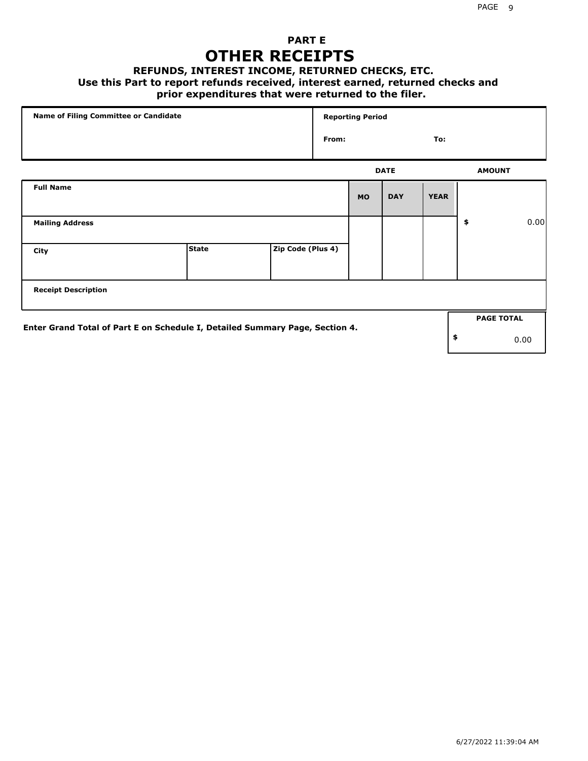### **PART E OTHER RECEIPTS**

#### **REFUNDS, INTEREST INCOME, RETURNED CHECKS, ETC.**

 **Use this Part to report refunds received, interest earned, returned checks and**

### **prior expenditures that were returned to the filer.**

| Name of Filing Committee or Candidate                                        |              |                   |       | <b>Reporting Period</b> |             |             |                   |      |
|------------------------------------------------------------------------------|--------------|-------------------|-------|-------------------------|-------------|-------------|-------------------|------|
|                                                                              |              |                   | From: |                         |             | To:         |                   |      |
|                                                                              |              |                   |       |                         | <b>DATE</b> |             | <b>AMOUNT</b>     |      |
| <b>Full Name</b>                                                             |              |                   |       | <b>MO</b>               | <b>DAY</b>  | <b>YEAR</b> |                   |      |
| <b>Mailing Address</b>                                                       |              |                   |       |                         |             |             | \$                | 0.00 |
| City                                                                         | <b>State</b> | Zip Code (Plus 4) |       |                         |             |             |                   |      |
| <b>Receipt Description</b>                                                   |              |                   |       |                         |             |             |                   |      |
| Enter Grand Total of Part E on Schedule I, Detailed Summary Page, Section 4. |              |                   |       |                         |             |             | <b>PAGE TOTAL</b> |      |
|                                                                              |              |                   |       |                         |             |             | \$                | 0.00 |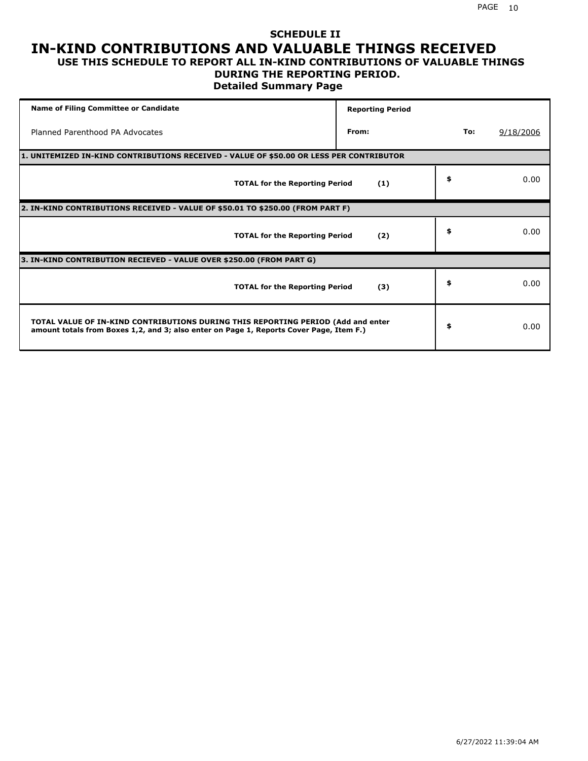#### **SCHEDULE II IN-KIND CONTRIBUTIONS AND VALUABLE THINGS RECEIVED USE THIS SCHEDULE TO REPORT ALL IN-KIND CONTRIBUTIONS OF VALUABLE THINGS**

#### **DURING THE REPORTING PERIOD.**

**Detailed Summary Page**

| <b>Name of Filing Committee or Candidate</b>                                                                                                                                | <b>Reporting Period</b> |     |           |
|-----------------------------------------------------------------------------------------------------------------------------------------------------------------------------|-------------------------|-----|-----------|
| Planned Parenthood PA Advocates                                                                                                                                             | From:                   | To: | 9/18/2006 |
| 1. UNITEMIZED IN-KIND CONTRIBUTIONS RECEIVED - VALUE OF \$50.00 OR LESS PER CONTRIBUTOR                                                                                     |                         |     |           |
| <b>TOTAL for the Reporting Period</b>                                                                                                                                       | (1)                     | \$  | 0.00      |
| 2. IN-KIND CONTRIBUTIONS RECEIVED - VALUE OF \$50.01 TO \$250.00 (FROM PART F)                                                                                              |                         |     |           |
| <b>TOTAL for the Reporting Period</b>                                                                                                                                       | (2)                     | \$  | 0.00      |
| 3. IN-KIND CONTRIBUTION RECIEVED - VALUE OVER \$250.00 (FROM PART G)                                                                                                        |                         |     |           |
| <b>TOTAL for the Reporting Period</b>                                                                                                                                       | (3)                     | \$  | 0.00      |
| TOTAL VALUE OF IN-KIND CONTRIBUTIONS DURING THIS REPORTING PERIOD (Add and enter<br>amount totals from Boxes 1,2, and 3; also enter on Page 1, Reports Cover Page, Item F.) |                         | \$  | 0.00      |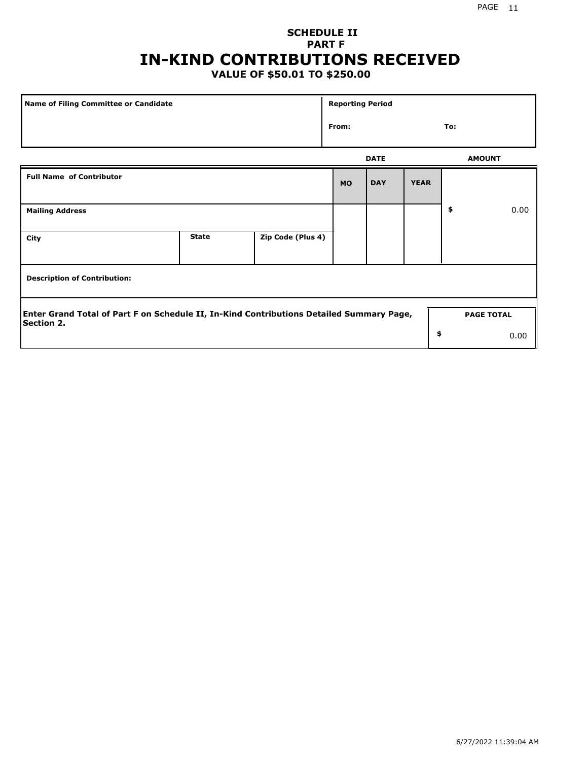# **SCHEDULE II PART F IN-KIND CONTRIBUTIONS RECEIVED**

## **VALUE OF \$50.01 TO \$250.00**

| Name of Filing Committee or Candidate                                                                         |              |                   | <b>Reporting Period</b> |             |             |     |                   |  |
|---------------------------------------------------------------------------------------------------------------|--------------|-------------------|-------------------------|-------------|-------------|-----|-------------------|--|
|                                                                                                               |              |                   | From:                   |             |             | To: |                   |  |
|                                                                                                               |              |                   |                         | <b>DATE</b> |             |     | <b>AMOUNT</b>     |  |
| <b>Full Name of Contributor</b>                                                                               |              |                   | <b>MO</b>               | <b>DAY</b>  | <b>YEAR</b> |     |                   |  |
| <b>Mailing Address</b>                                                                                        |              |                   |                         |             |             | \$  | 0.00              |  |
| City                                                                                                          | <b>State</b> | Zip Code (Plus 4) |                         |             |             |     |                   |  |
| <b>Description of Contribution:</b>                                                                           |              |                   |                         |             |             |     |                   |  |
| Enter Grand Total of Part F on Schedule II, In-Kind Contributions Detailed Summary Page,<br><b>Section 2.</b> |              |                   |                         |             |             |     | <b>PAGE TOTAL</b> |  |
|                                                                                                               |              |                   |                         |             | \$          |     | 0.00              |  |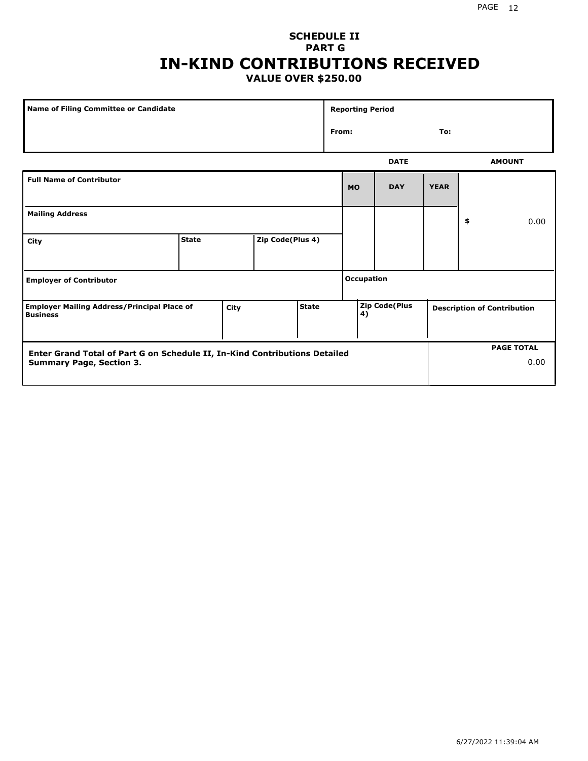#### PAGE 12

#### **SCHEDULE II PART G IN-KIND CONTRIBUTIONS RECEIVED VALUE OVER \$250.00**

| Name of Filing Committee or Candidate                                                                |              |  |                  |  |       | <b>Reporting Period</b> |                      |             |                                    |
|------------------------------------------------------------------------------------------------------|--------------|--|------------------|--|-------|-------------------------|----------------------|-------------|------------------------------------|
|                                                                                                      |              |  |                  |  | From: |                         |                      | To:         |                                    |
|                                                                                                      |              |  |                  |  |       |                         | <b>DATE</b>          |             | <b>AMOUNT</b>                      |
| <b>Full Name of Contributor</b>                                                                      |              |  |                  |  |       | <b>MO</b>               | <b>DAY</b>           | <b>YEAR</b> |                                    |
| <b>Mailing Address</b>                                                                               |              |  |                  |  |       |                         |                      |             | \$<br>0.00                         |
| City                                                                                                 | <b>State</b> |  | Zip Code(Plus 4) |  |       |                         |                      |             |                                    |
| <b>Employer of Contributor</b>                                                                       |              |  |                  |  |       | <b>Occupation</b>       |                      |             |                                    |
| <b>State</b><br><b>Employer Mailing Address/Principal Place of</b><br><b>City</b><br><b>Business</b> |              |  |                  |  |       | 4)                      | <b>Zip Code(Plus</b> |             | <b>Description of Contribution</b> |

| <b>Enter Grand Total of Part G on Schedule II, In-Kind Contributions Detailed</b> | <b>PAGE TOTAL</b> |  |  |
|-----------------------------------------------------------------------------------|-------------------|--|--|
| <b>Summary Page, Section 3.</b>                                                   | 0.00              |  |  |
|                                                                                   |                   |  |  |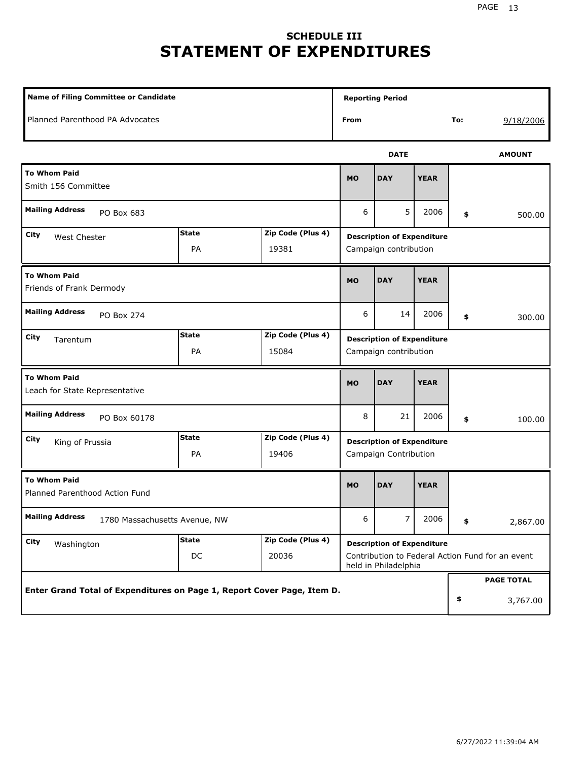# **SCHEDULE III STATEMENT OF EXPENDITURES**

| <b>Name of Filing Committee or Candidate</b>                            |                    | <b>Reporting Period</b>    |                                                            |                                                                                                               |             |                               |               |  |
|-------------------------------------------------------------------------|--------------------|----------------------------|------------------------------------------------------------|---------------------------------------------------------------------------------------------------------------|-------------|-------------------------------|---------------|--|
| Planned Parenthood PA Advocates                                         |                    | From                       |                                                            |                                                                                                               | To:         | 9/18/2006                     |               |  |
|                                                                         |                    |                            |                                                            | <b>DATE</b>                                                                                                   |             |                               | <b>AMOUNT</b> |  |
| <b>To Whom Paid</b><br>Smith 156 Committee                              |                    |                            | <b>MO</b>                                                  | <b>DAY</b>                                                                                                    | <b>YEAR</b> |                               |               |  |
| <b>Mailing Address</b><br>PO Box 683                                    |                    | 6                          | 5                                                          | 2006                                                                                                          | \$          | 500.00                        |               |  |
| City<br>West Chester                                                    | <b>State</b><br>PA | Zip Code (Plus 4)<br>19381 |                                                            | <b>Description of Expenditure</b><br>Campaign contribution                                                    |             |                               |               |  |
| <b>To Whom Paid</b><br>Friends of Frank Dermody                         |                    |                            | <b>MO</b>                                                  | <b>DAY</b>                                                                                                    | <b>YEAR</b> |                               |               |  |
| <b>Mailing Address</b><br>PO Box 274                                    |                    |                            | 6                                                          | 14                                                                                                            | 2006        | \$                            | 300.00        |  |
| City<br>Tarentum                                                        | <b>State</b><br>PA | Zip Code (Plus 4)<br>15084 | <b>Description of Expenditure</b><br>Campaign contribution |                                                                                                               |             |                               |               |  |
| <b>To Whom Paid</b><br>Leach for State Representative                   |                    | <b>MO</b>                  | <b>DAY</b>                                                 | <b>YEAR</b>                                                                                                   |             |                               |               |  |
| <b>Mailing Address</b><br>PO Box 60178                                  |                    | 8                          | 21                                                         | 2006                                                                                                          | \$          | 100.00                        |               |  |
| City<br>King of Prussia                                                 | <b>State</b><br>PA | Zip Code (Plus 4)<br>19406 | <b>Description of Expenditure</b><br>Campaign Contribution |                                                                                                               |             |                               |               |  |
| <b>To Whom Paid</b><br>Planned Parenthood Action Fund                   |                    |                            | <b>MO</b>                                                  | <b>DAY</b>                                                                                                    | <b>YEAR</b> |                               |               |  |
| <b>Mailing Address</b><br>1780 Massachusetts Avenue, NW                 |                    | 6                          | 7                                                          | 2006                                                                                                          | \$          | 2,867.00                      |               |  |
| <b>City</b><br>Washington                                               | <b>State</b><br>DC | Zip Code (Plus 4)<br>20036 |                                                            | <b>Description of Expenditure</b><br>Contribution to Federal Action Fund for an event<br>held in Philadelphia |             |                               |               |  |
| Enter Grand Total of Expenditures on Page 1, Report Cover Page, Item D. |                    |                            |                                                            |                                                                                                               | \$          | <b>PAGE TOTAL</b><br>3,767.00 |               |  |